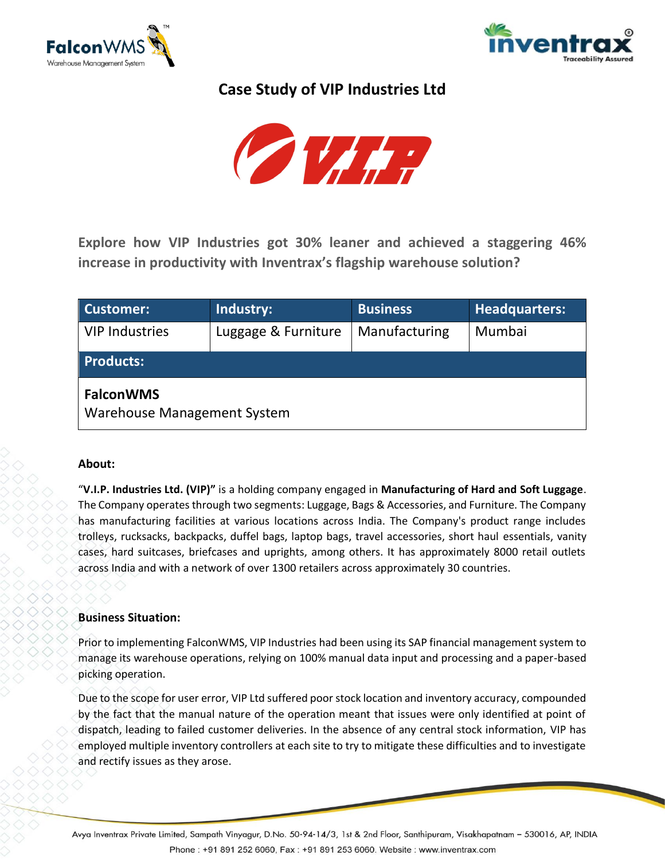



# **Case Study of VIP Industries Ltd**



**Explore how VIP Industries got 30% leaner and achieved a staggering 46% increase in productivity with Inventrax's flagship warehouse solution?**

| Customer:                                       | Industry:           | <b>Business</b> | <b>Headquarters:</b> |
|-------------------------------------------------|---------------------|-----------------|----------------------|
| <b>VIP Industries</b>                           | Luggage & Furniture | Manufacturing   | Mumbai               |
| <b>Products:</b>                                |                     |                 |                      |
| <b>FalconWMS</b><br>Warehouse Management System |                     |                 |                      |

## **About:**

"**V.I.P. Industries Ltd. (VIP)"** is a holding company engaged in **Manufacturing of Hard and Soft Luggage**. The Company operates through two segments: Luggage, Bags & Accessories, and Furniture. The Company has manufacturing facilities at various locations across India. The Company's product range includes trolleys, rucksacks, backpacks, duffel bags, laptop bags, travel accessories, short haul essentials, vanity cases, hard suitcases, briefcases and uprights, among others. It has approximately 8000 retail outlets across India and with a network of over 1300 retailers across approximately 30 countries.

# **Business Situation:**

Prior to implementing FalconWMS, VIP Industries had been using its SAP financial management system to manage its warehouse operations, relying on 100% manual data input and processing and a paper-based picking operation.

Due to the scope for user error, VIP Ltd suffered poor stock location and inventory accuracy, compounded by the fact that the manual nature of the operation meant that issues were only identified at point of dispatch, leading to failed customer deliveries. In the absence of any central stock information, VIP has employed multiple inventory controllers at each site to try to mitigate these difficulties and to investigate and rectify issues as they arose.

Avya Inventrax Private Limited, Sampath Vinyagur, D.No. 50-94-14/3, 1st & 2nd Floor, Santhipuram, Visakhapatnam – 530016, AP, INDIA Phone: +91 891 252 6060, Fax: +91 891 253 6060. Website: www.inventrax.com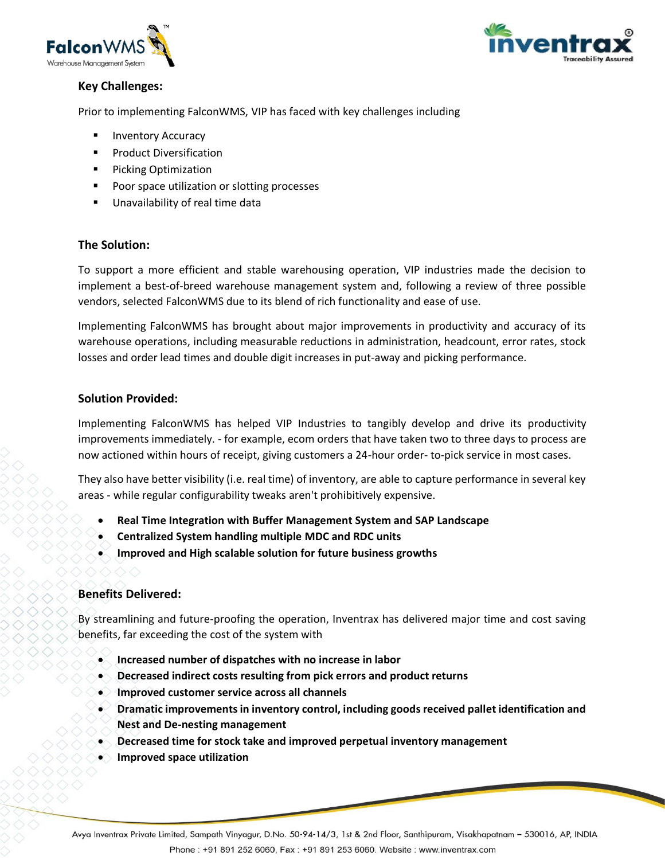



# **Key Challenges:**

Prior to implementing FalconWMS, VIP has faced with key challenges including

- **Inventory Accuracy**
- **Product Diversification**
- Picking Optimization
- Poor space utilization or slotting processes
- Unavailability of real time data

## **The Solution:**

To support a more efficient and stable warehousing operation, VIP industries made the decision to implement a best-of-breed warehouse management system and, following a review of three possible vendors, selected FalconWMS due to its blend of rich functionality and ease of use.

Implementing FalconWMS has brought about major improvements in productivity and accuracy of its warehouse operations, including measurable reductions in administration, headcount, error rates, stock losses and order lead times and double digit increases in put-away and picking performance.

## **Solution Provided:**

Implementing FalconWMS has helped VIP Industries to tangibly develop and drive its productivity improvements immediately. - for example, ecom orders that have taken two to three days to process are now actioned within hours of receipt, giving customers a 24-hour order- to-pick service in most cases.

They also have better visibility (i.e. real time) of inventory, are able to capture performance in several key areas - while regular configurability tweaks aren't prohibitively expensive.

- **Real Time Integration with Buffer Management System and SAP Landscape**
- **Centralized System handling multiple MDC and RDC units**
- **Improved and High scalable solution for future business growths**

## **Benefits Delivered:**

By streamlining and future-proofing the operation, Inventrax has delivered major time and cost saving benefits, far exceeding the cost of the system with

- **Increased number of dispatches with no increase in labor**
- **Decreased indirect costs resulting from pick errors and product returns**
- **Improved customer service across all channels**
- **Dramatic improvements in inventory control, including goods received pallet identification and Nest and De-nesting management**
- **Decreased time for stock take and improved perpetual inventory management**
- **Improved space utilization**